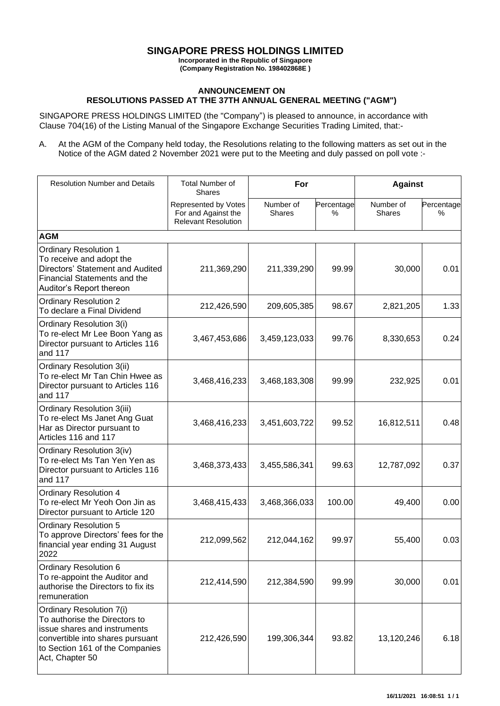## **SINGAPORE PRESS HOLDINGS LIMITED**

**Incorporated in the Republic of Singapore (Company Registration No. 198402868E )**

## **ANNOUNCEMENT ON RESOLUTIONS PASSED AT THE 37TH ANNUAL GENERAL MEETING ("AGM")**

SINGAPORE PRESS HOLDINGS LIMITED (the "Company") is pleased to announce, in accordance with Clause 704(16) of the Listing Manual of the Singapore Exchange Securities Trading Limited, that:-

A. At the AGM of the Company held today, the Resolutions relating to the following matters as set out in the Notice of the AGM dated 2 November 2021 were put to the Meeting and duly passed on poll vote :-

| <b>Resolution Number and Details</b>                                                                                                                                                | <b>Total Number of</b><br><b>Shares</b>                                   | For                        |                 | <b>Against</b>             |                 |
|-------------------------------------------------------------------------------------------------------------------------------------------------------------------------------------|---------------------------------------------------------------------------|----------------------------|-----------------|----------------------------|-----------------|
|                                                                                                                                                                                     | Represented by Votes<br>For and Against the<br><b>Relevant Resolution</b> | Number of<br><b>Shares</b> | Percentage<br>% | Number of<br><b>Shares</b> | Percentage<br>% |
| <b>AGM</b>                                                                                                                                                                          |                                                                           |                            |                 |                            |                 |
| <b>Ordinary Resolution 1</b><br>To receive and adopt the<br>Directors' Statement and Audited<br>Financial Statements and the<br>Auditor's Report thereon                            | 211,369,290                                                               | 211,339,290                | 99.99           | 30,000                     | 0.01            |
| <b>Ordinary Resolution 2</b><br>To declare a Final Dividend                                                                                                                         | 212,426,590                                                               | 209,605,385                | 98.67           | 2,821,205                  | 1.33            |
| Ordinary Resolution 3(i)<br>To re-elect Mr Lee Boon Yang as<br>Director pursuant to Articles 116<br>and 117                                                                         | 3,467,453,686                                                             | 3,459,123,033              | 99.76           | 8,330,653                  | 0.24            |
| <b>Ordinary Resolution 3(ii)</b><br>To re-elect Mr Tan Chin Hwee as<br>Director pursuant to Articles 116<br>and 117                                                                 | 3,468,416,233                                                             | 3,468,183,308              | 99.99           | 232,925                    | 0.01            |
| Ordinary Resolution 3(iii)<br>To re-elect Ms Janet Ang Guat<br>Har as Director pursuant to<br>Articles 116 and 117                                                                  | 3,468,416,233                                                             | 3,451,603,722              | 99.52           | 16,812,511                 | 0.48            |
| Ordinary Resolution 3(iv)<br>To re-elect Ms Tan Yen Yen as<br>Director pursuant to Articles 116<br>and 117                                                                          | 3,468,373,433                                                             | 3,455,586,341              | 99.63           | 12,787,092                 | 0.37            |
| <b>Ordinary Resolution 4</b><br>To re-elect Mr Yeoh Oon Jin as<br>Director pursuant to Article 120                                                                                  | 3,468,415,433                                                             | 3,468,366,033              | 100.00          | 49,400                     | 0.00            |
| <b>Ordinary Resolution 5</b><br>To approve Directors' fees for the<br>financial year ending 31 August<br>2022                                                                       | 212,099,562                                                               | 212,044,162                | 99.97           | 55,400                     | 0.03            |
| Ordinary Resolution 6<br>To re-appoint the Auditor and<br>authorise the Directors to fix its<br>remuneration                                                                        | 212,414,590                                                               | 212,384,590                | 99.99           | 30,000                     | 0.01            |
| Ordinary Resolution 7(i)<br>To authorise the Directors to<br>issue shares and instruments<br>convertible into shares pursuant<br>to Section 161 of the Companies<br>Act, Chapter 50 | 212,426,590                                                               | 199,306,344                | 93.82           | 13,120,246                 | 6.18            |